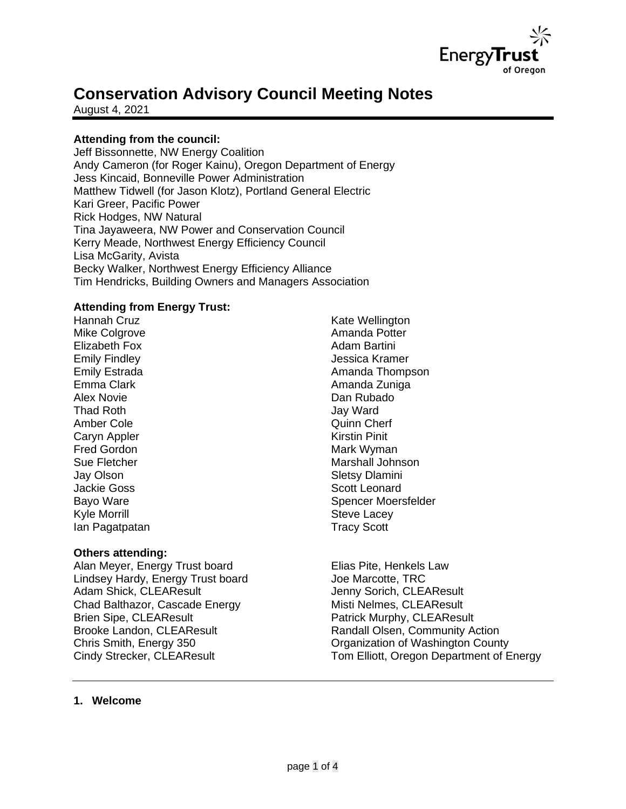

# **Conservation Advisory Council Meeting Notes**

August 4, 2021

# **Attending from the council:**

Jeff Bissonnette, NW Energy Coalition Andy Cameron (for Roger Kainu), Oregon Department of Energy Jess Kincaid, Bonneville Power Administration Matthew Tidwell (for Jason Klotz), Portland General Electric Kari Greer, Pacific Power Rick Hodges, NW Natural Tina Jayaweera, NW Power and Conservation Council Kerry Meade, Northwest Energy Efficiency Council Lisa McGarity, Avista Becky Walker, Northwest Energy Efficiency Alliance Tim Hendricks, Building Owners and Managers Association

## **Attending from Energy Trust:**

Hannah Cruz Mike Colgrove Elizabeth Fox Emily Findley Emily Estrada Emma Clark Alex Novie Thad Roth Amber Cole Caryn Appler Fred Gordon Sue Fletcher Jay Olson Jackie Goss Bayo Ware Kyle Morrill Ian Pagatpatan

#### **Others attending:**

Alan Meyer, Energy Trust board Lindsey Hardy, Energy Trust board Adam Shick, CLEAResult Chad Balthazor, Cascade Energy Brien Sipe, CLEAResult Brooke Landon, CLEAResult Chris Smith, Energy 350 Cindy Strecker, CLEAResult

Kate Wellington Amanda Potter Adam Bartini Jessica Kramer Amanda Thompson Amanda Zuniga Dan Rubado Jay Ward Quinn Cherf Kirstin Pinit Mark Wyman Marshall Johnson Sletsy Dlamini Scott Leonard Spencer Moersfelder Steve Lacey Tracy Scott

Elias Pite, Henkels Law Joe Marcotte, TRC Jenny Sorich, CLEAResult Misti Nelmes, CLEAResult Patrick Murphy, CLEAResult Randall Olsen, Community Action Organization of Washington County Tom Elliott, Oregon Department of Energy

#### **1. Welcome**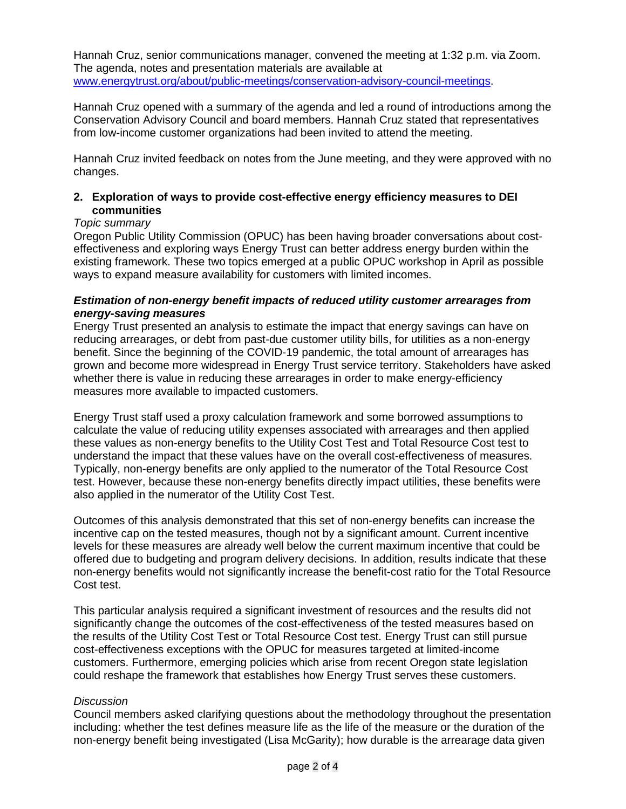Hannah Cruz, senior communications manager, convened the meeting at 1:32 p.m. via Zoom. The agenda, notes and presentation materials are available at [www.energytrust.org/about/public-meetings/conservation-advisory-council-meetings.](http://www.energytrust.org/about/public-meetings/conservation-advisory-council-meetings)

Hannah Cruz opened with a summary of the agenda and led a round of introductions among the Conservation Advisory Council and board members. Hannah Cruz stated that representatives from low-income customer organizations had been invited to attend the meeting.

Hannah Cruz invited feedback on notes from the June meeting, and they were approved with no changes.

## **2. Exploration of ways to provide cost-effective energy efficiency measures to DEI communities**

## *Topic summary*

Oregon Public Utility Commission (OPUC) has been having broader conversations about costeffectiveness and exploring ways Energy Trust can better address energy burden within the existing framework. These two topics emerged at a public OPUC workshop in April as possible ways to expand measure availability for customers with limited incomes.

#### *Estimation of non-energy benefit impacts of reduced utility customer arrearages from energy-saving measures*

Energy Trust presented an analysis to estimate the impact that energy savings can have on reducing arrearages, or debt from past-due customer utility bills, for utilities as a non-energy benefit. Since the beginning of the COVID-19 pandemic, the total amount of arrearages has grown and become more widespread in Energy Trust service territory. Stakeholders have asked whether there is value in reducing these arrearages in order to make energy-efficiency measures more available to impacted customers.

Energy Trust staff used a proxy calculation framework and some borrowed assumptions to calculate the value of reducing utility expenses associated with arrearages and then applied these values as non-energy benefits to the Utility Cost Test and Total Resource Cost test to understand the impact that these values have on the overall cost-effectiveness of measures. Typically, non-energy benefits are only applied to the numerator of the Total Resource Cost test. However, because these non-energy benefits directly impact utilities, these benefits were also applied in the numerator of the Utility Cost Test.

Outcomes of this analysis demonstrated that this set of non-energy benefits can increase the incentive cap on the tested measures, though not by a significant amount. Current incentive levels for these measures are already well below the current maximum incentive that could be offered due to budgeting and program delivery decisions. In addition, results indicate that these non-energy benefits would not significantly increase the benefit-cost ratio for the Total Resource Cost test.

This particular analysis required a significant investment of resources and the results did not significantly change the outcomes of the cost-effectiveness of the tested measures based on the results of the Utility Cost Test or Total Resource Cost test. Energy Trust can still pursue cost-effectiveness exceptions with the OPUC for measures targeted at limited-income customers. Furthermore, emerging policies which arise from recent Oregon state legislation could reshape the framework that establishes how Energy Trust serves these customers.

#### *Discussion*

Council members asked clarifying questions about the methodology throughout the presentation including: whether the test defines measure life as the life of the measure or the duration of the non-energy benefit being investigated (Lisa McGarity); how durable is the arrearage data given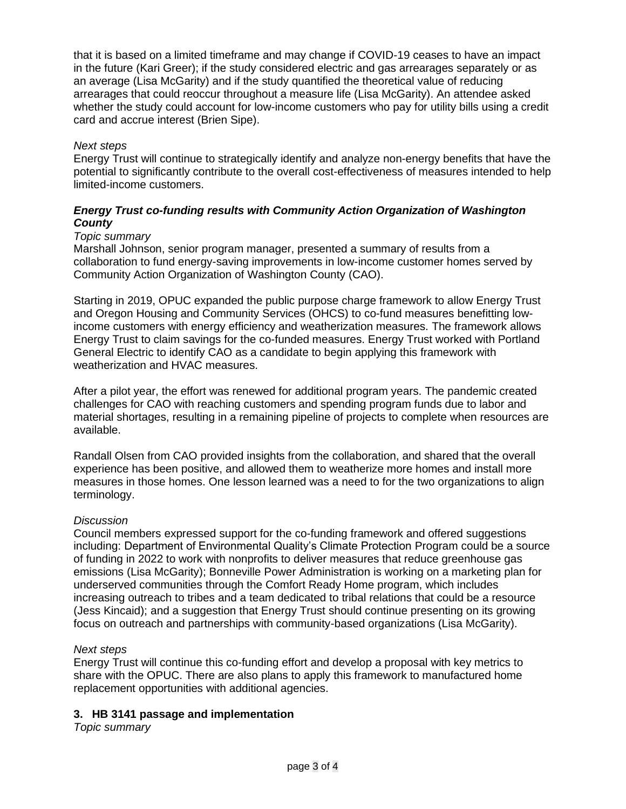that it is based on a limited timeframe and may change if COVID-19 ceases to have an impact in the future (Kari Greer); if the study considered electric and gas arrearages separately or as an average (Lisa McGarity) and if the study quantified the theoretical value of reducing arrearages that could reoccur throughout a measure life (Lisa McGarity). An attendee asked whether the study could account for low-income customers who pay for utility bills using a credit card and accrue interest (Brien Sipe).

## *Next steps*

Energy Trust will continue to strategically identify and analyze non-energy benefits that have the potential to significantly contribute to the overall cost-effectiveness of measures intended to help limited-income customers.

## *Energy Trust co-funding results with Community Action Organization of Washington County*

## *Topic summary*

Marshall Johnson, senior program manager, presented a summary of results from a collaboration to fund energy-saving improvements in low-income customer homes served by Community Action Organization of Washington County (CAO).

Starting in 2019, OPUC expanded the public purpose charge framework to allow Energy Trust and Oregon Housing and Community Services (OHCS) to co-fund measures benefitting lowincome customers with energy efficiency and weatherization measures. The framework allows Energy Trust to claim savings for the co-funded measures. Energy Trust worked with Portland General Electric to identify CAO as a candidate to begin applying this framework with weatherization and HVAC measures.

After a pilot year, the effort was renewed for additional program years. The pandemic created challenges for CAO with reaching customers and spending program funds due to labor and material shortages, resulting in a remaining pipeline of projects to complete when resources are available.

Randall Olsen from CAO provided insights from the collaboration, and shared that the overall experience has been positive, and allowed them to weatherize more homes and install more measures in those homes. One lesson learned was a need to for the two organizations to align terminology.

#### *Discussion*

Council members expressed support for the co-funding framework and offered suggestions including: Department of Environmental Quality's Climate Protection Program could be a source of funding in 2022 to work with nonprofits to deliver measures that reduce greenhouse gas emissions (Lisa McGarity); Bonneville Power Administration is working on a marketing plan for underserved communities through the Comfort Ready Home program, which includes increasing outreach to tribes and a team dedicated to tribal relations that could be a resource (Jess Kincaid); and a suggestion that Energy Trust should continue presenting on its growing focus on outreach and partnerships with community-based organizations (Lisa McGarity).

#### *Next steps*

Energy Trust will continue this co-funding effort and develop a proposal with key metrics to share with the OPUC. There are also plans to apply this framework to manufactured home replacement opportunities with additional agencies.

# **3. HB 3141 passage and implementation**

*Topic summary*